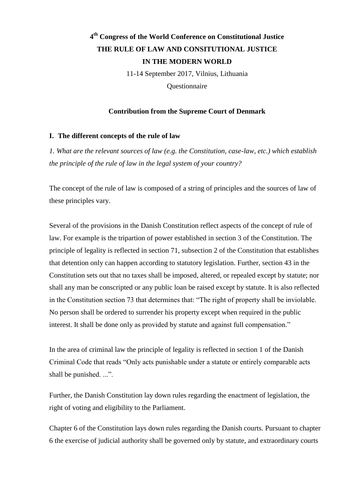# **4 th Congress of the World Conference on Constitutional Justice THE RULE OF LAW AND CONSITUTIONAL JUSTICE IN THE MODERN WORLD**

11-14 September 2017, Vilnius, Lithuania **Ouestionnaire** 

# **Contribution from the Supreme Court of Denmark**

# **I. The different concepts of the rule of law**

*1. What are the relevant sources of law (e.g. the Constitution, case-law, etc.) which establish the principle of the rule of law in the legal system of your country?*

The concept of the rule of law is composed of a string of principles and the sources of law of these principles vary.

Several of the provisions in the Danish Constitution reflect aspects of the concept of rule of law. For example is the tripartion of power established in section 3 of the Constitution. The principle of legality is reflected in section 71, subsection 2 of the Constitution that establishes that detention only can happen according to statutory legislation. Further, section 43 in the Constitution sets out that no taxes shall be imposed, altered, or repealed except by statute; nor shall any man be conscripted or any public loan be raised except by statute. It is also reflected in the Constitution section 73 that determines that: "The right of property shall be inviolable. No person shall be ordered to surrender his property except when required in the public interest. It shall be done only as provided by statute and against full compensation."

In the area of criminal law the principle of legality is reflected in section 1 of the Danish Criminal Code that reads "Only acts punishable under a statute or entirely comparable acts shall be punished. ...".

Further, the Danish Constitution lay down rules regarding the enactment of legislation, the right of voting and eligibility to the Parliament.

Chapter 6 of the Constitution lays down rules regarding the Danish courts. Pursuant to chapter 6 the exercise of judicial authority shall be governed only by statute, and extraordinary courts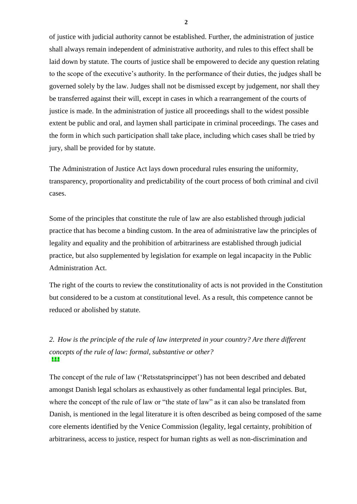of justice with judicial authority cannot be established. Further, the administration of justice shall always remain independent of administrative authority, and rules to this effect shall be laid down by statute. The courts of justice shall be empowered to decide any question relating to the scope of the executive's authority. In the performance of their duties, the judges shall be governed solely by the law. Judges shall not be dismissed except by judgement, nor shall they be transferred against their will, except in cases in which a rearrangement of the courts of justice is made. In the administration of justice all proceedings shall to the widest possible extent be public and oral, and laymen shall participate in criminal proceedings. The cases and the form in which such participation shall take place, including which cases shall be tried by jury, shall be provided for by statute.

The Administration of Justice Act lays down procedural rules ensuring the uniformity, transparency, proportionality and predictability of the court process of both criminal and civil cases.

Some of the principles that constitute the rule of law are also established through judicial practice that has become a binding custom. In the area of administrative law the principles of legality and equality and the prohibition of arbitrariness are established through judicial practice, but also supplemented by legislation for example on legal incapacity in the Public Administration Act.

The right of the courts to review the constitutionality of acts is not provided in the Constitution but considered to be a custom at constitutional level. As a result, this competence cannot be reduced or abolished by statute.

# \* \* \* *2. How is the principle of the rule of law interpreted in your country? Are there different concepts of the rule of law: formal, substantive or other?*

The concept of the rule of law ('Retsstatsprincippet') has not been described and debated amongst Danish legal scholars as exhaustively as other fundamental legal principles. But, where the concept of the rule of law or "the state of law" as it can also be translated from Danish, is mentioned in the legal literature it is often described as being composed of the same core elements identified by the Venice Commission (legality, legal certainty, prohibition of arbitrariness, access to justice, respect for human rights as well as non-discrimination and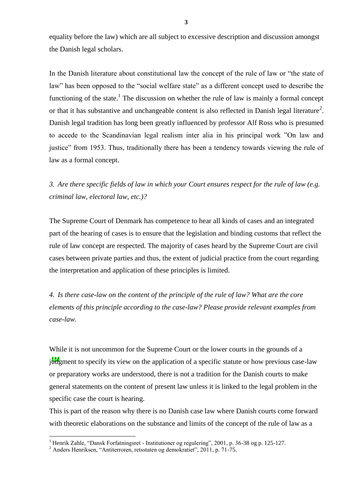equality before the law) which are all subject to excessive description and discussion amongst the Danish legal scholars.

In the Danish literature about constitutional law the concept of the rule of law or "the state of law" has been opposed to the "social welfare state" as a different concept used to describe the functioning of the state.<sup>1</sup> The discussion on whether the rule of law is mainly a formal concept or that it has substantive and unchangeable content is also reflected in Danish legal literature<sup>2</sup>. Danish legal tradition has long been greatly influenced by professor Alf Ross who is presumed to accede to the Scandinavian legal realism inter alia in his principal work "On law and justice" from 1953. Thus, traditionally there has been a tendency towards viewing the rule of law as a formal concept.

*3. Are there specific fields of law in which your Court ensures respect for the rule of law (e.g. criminal law, electoral law, etc.)?*

The Supreme Court of Denmark has competence to hear all kinds of cases and an integrated part of the hearing of cases is to ensure that the legislation and binding customs that reflect the rule of law concept are respected. The majority of cases heard by the Supreme Court are civil cases between private parties and thus, the extent of judicial practice from the court regarding the interpretation and application of these principles is limited.

*4. Is there case-law on the content of the principle of the rule of law? What are the core elements of this principle according to the case-law? Please provide relevant examples from case-law.*

judgment to specify its view on the application of a specific statute or how previous case-law While it is not uncommon for the Supreme Court or the lower courts in the grounds of a or preparatory works are understood, there is not a tradition for the Danish courts to make general statements on the content of present law unless it is linked to the legal problem in the specific case the court is hearing.

This is part of the reason why there is no Danish case law where Danish courts come forward with theoretic elaborations on the substance and limits of the concept of the rule of law as a

 $\overline{a}$ 

<sup>&</sup>lt;sup>1</sup> Henrik Zahle, "Dansk Forfatningsret - Institutioner og regulering", 2001, p. 36-38 og p. 125-127.

 $^{2}$  Anders Henriksen, "Antiterroren, retsstaten og demokratiet", 2011, p. 71-75.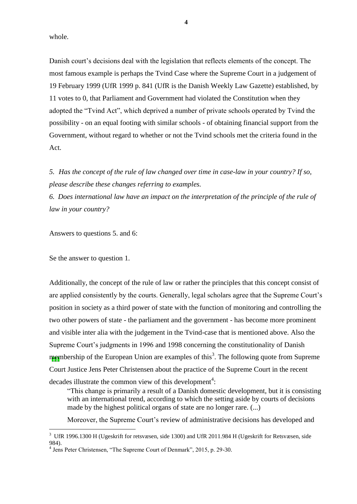whole.

Danish court's decisions deal with the legislation that reflects elements of the concept. The most famous example is perhaps the Tvind Case where the Supreme Court in a judgement of 19 February 1999 (UfR 1999 p. 841 (UfR is the Danish Weekly Law Gazette) established, by 11 votes to 0, that Parliament and Government had violated the Constitution when they adopted the "Tvind Act", which deprived a number of private schools operated by Tvind the possibility - on an equal footing with similar schools - of obtaining financial support from the Government, without regard to whether or not the Tvind schools met the criteria found in the Act.

*5. Has the concept of the rule of law changed over time in case-law in your country? If so, please describe these changes referring to examples.*

*6. Does international law have an impact on the interpretation of the principle of the rule of law in your country?*

Answers to questions 5. and 6:

Se the answer to question 1.

 $\overline{a}$ 

membership of the European Union are examples of this<sup>3</sup>. The following quote from Supreme Additionally, the concept of the rule of law or rather the principles that this concept consist of are applied consistently by the courts. Generally, legal scholars agree that the Supreme Court's position in society as a third power of state with the function of monitoring and controlling the two other powers of state - the parliament and the government - has become more prominent and visible inter alia with the judgement in the Tvind-case that is mentioned above. Also the Supreme Court's judgments in 1996 and 1998 concerning the constitutionality of Danish Court Justice Jens Peter Christensen about the practice of the Supreme Court in the recent decades illustrate the common view of this development<sup>4</sup>:

"This change is primarily a result of a Danish domestic development, but it is consisting with an international trend, according to which the setting aside by courts of decisions made by the highest political organs of state are no longer rare. (...)

Moreover, the Supreme Court's review of administrative decisions has developed and

<sup>3</sup> UfR 1996.1300 H (Ugeskrift for retsvæsen, side 1300) and UfR 2011.984 H (Ugeskrift for Retsvæsen, side 984).

<sup>&</sup>lt;sup>4</sup> Jens Peter Christensen, "The Supreme Court of Denmark", 2015, p. 29-30.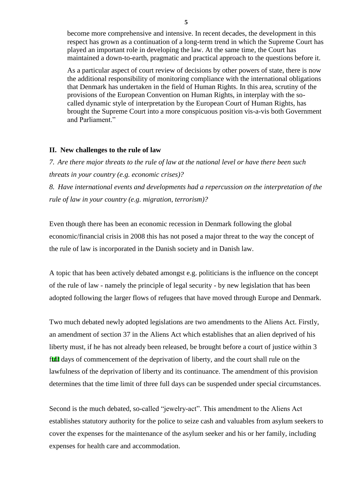become more comprehensive and intensive. In recent decades, the development in this respect has grown as a continuation of a long-term trend in which the Supreme Court has played an important role in developing the law. At the same time, the Court has maintained a down-to-earth, pragmatic and practical approach to the questions before it.

As a particular aspect of court review of decisions by other powers of state, there is now the additional responsibility of monitoring compliance with the international obligations that Denmark has undertaken in the field of Human Rights. In this area, scrutiny of the provisions of the European Convention on Human Rights, in interplay with the socalled dynamic style of interpretation by the European Court of Human Rights, has brought the Supreme Court into a more conspicuous position vis-a-vis both Government and Parliament."

#### **II. New challenges to the rule of law**

*7. Are there major threats to the rule of law at the national level or have there been such threats in your country (e.g. economic crises)?*

*8. Have international events and developments had a repercussion on the interpretation of the rule of law in your country (e.g. migration, terrorism)?*

Even though there has been an economic recession in Denmark following the global economic/financial crisis in 2008 this has not posed a major threat to the way the concept of the rule of law is incorporated in the Danish society and in Danish law.

A topic that has been actively debated amongst e.g. politicians is the influence on the concept of the rule of law - namely the principle of legal security - by new legislation that has been adopted following the larger flows of refugees that have moved through Europe and Denmark.

full days of commencement of the deprivation of liberty, and the court shall rule on the Two much debated newly adopted legislations are two amendments to the Aliens Act. Firstly, an amendment of section 37 in the Aliens Act which establishes that an alien deprived of his liberty must, if he has not already been released, be brought before a court of justice within 3 lawfulness of the deprivation of liberty and its continuance. The amendment of this provision determines that the time limit of three full days can be suspended under special circumstances.

Second is the much debated, so-called "jewelry-act". This amendment to the Aliens Act establishes statutory authority for the police to seize cash and valuables from asylum seekers to cover the expenses for the maintenance of the asylum seeker and his or her family, including expenses for health care and accommodation.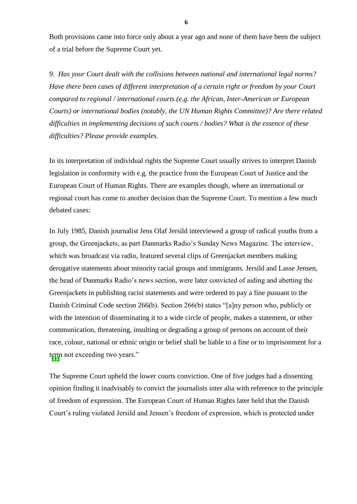Both provisions came into force only about a year ago and none of them have been the subject of a trial before the Supreme Court yet.

*9. Has your Court dealt with the collisions between national and international legal norms? Have there been cases of different interpretation of a certain right or freedom by your Court compared to regional / international courts (e.g. the African, Inter-American or European Courts) or international bodies (notably, the UN Human Rights Committee)? Are there related difficulties in implementing decisions of such courts / bodies? What is the essence of these difficulties? Please provide examples.*

In its interpretation of individual rights the Supreme Court usually strives to interpret Danish legislation in conformity with e.g. the practice from the European Court of Justice and the European Court of Human Rights. There are examples though, where an international or regional court has come to another decision than the Supreme Court. To mention a few much debated cases:

term not exceeding two years." In July 1985, Danish journalist Jens Olaf Jersild interviewed a group of radical youths from a group, the Greenjackets, as part Danmarks Radio's Sunday News Magazine. The interview, which was broadcast via radio, featured several clips of Greenjacket members making derogative statements about minority racial groups and immigrants. Jersild and Lasse Jensen, the head of Danmarks Radio's news section, were later convicted of aiding and abetting the Greenjackets in publishing racist statements and were ordered to pay a fine pusuant to the Danish Criminal Code section 266(b). Section 266(b) states "[a]ny person who, publicly or with the intention of disseminating it to a wide circle of people, makes a statement, or other communication, threatening, insulting or degrading a group of persons on account of their race, colour, national or ethnic origin or belief shall be liable to a fine or to imprisonment for a

The Supreme Court upheld the lower courts conviction. One of five judges had a dissenting opinion finding it inadvisably to convict the journalists inter alia with reference to the principle of freedom of expression. The European Court of Human Rights later held that the Danish Court's ruling violated Jersild and Jensen's freedom of expression, which is protected under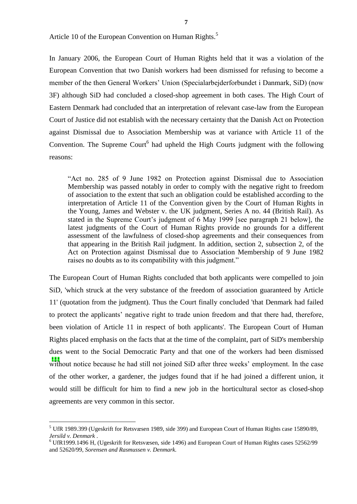**7**

Article 10 of the European Convention on Human Rights.<sup>5</sup>

In January 2006, the European Court of Human Rights held that it was a violation of the European Convention that two Danish workers had been dismissed for refusing to become a member of the then General Workers' Union (Specialarbejderforbundet i Danmark, SiD) (now 3F) although SiD had concluded a closed-shop agreement in both cases. The High Court of Eastern Denmark had concluded that an interpretation of relevant case-law from the European Court of Justice did not establish with the necessary certainty that the Danish Act on Protection against Dismissal due to Association Membership was at variance with Article 11 of the Convention. The Supreme Court $<sup>6</sup>$  had upheld the High Courts judgment with the following</sup> reasons:

"Act no. 285 of 9 June 1982 on Protection against Dismissal due to Association Membership was passed notably in order to comply with the negative right to freedom of association to the extent that such an obligation could be established according to the interpretation of Article 11 of the Convention given by the Court of Human Rights in the Young, James and Webster v. the UK judgment, Series A no. 44 (British Rail). As stated in the Supreme Court's judgment of 6 May 1999 [see paragraph 21 below], the latest judgments of the Court of Human Rights provide no grounds for a different assessment of the lawfulness of closed-shop agreements and their consequences from that appearing in the British Rail judgment. In addition, section 2, subsection 2, of the Act on Protection against Dismissal due to Association Membership of 9 June 1982 raises no doubts as to its compatibility with this judgment."

**111** without notice because he had still not joined SiD after three weeks' employment. In the case The European Court of Human Rights concluded that both applicants were compelled to join SiD, 'which struck at the very substance of the freedom of association guaranteed by Article 11' (quotation from the judgment). Thus the Court finally concluded 'that Denmark had failed to protect the applicants' negative right to trade union freedom and that there had, therefore, been violation of Article 11 in respect of both applicants'. The European Court of Human Rights placed emphasis on the facts that at the time of the complaint, part of SiD's membership dues went to the Social Democratic Party and that one of the workers had been dismissed of the other worker, a gardener, the judges found that if he had joined a different union, it would still be difficult for him to find a new job in the horticultural sector as closed-shop agreements are very common in this sector.

 $\overline{a}$ 

<sup>5</sup> UfR 1989.399 (Ugeskrift for Retsvæsen 1989, side 399) and European Court of Human Rights case 15890/89, *Jersild v. Denmark* .

<sup>6</sup> UfR1999.1496 H, (Ugeskrift for Retsvæsen, side 1496) and European Court of Human Rights cases 52562/99 and 52620/99, *Sorensen and Rasmussen v. Denmark.*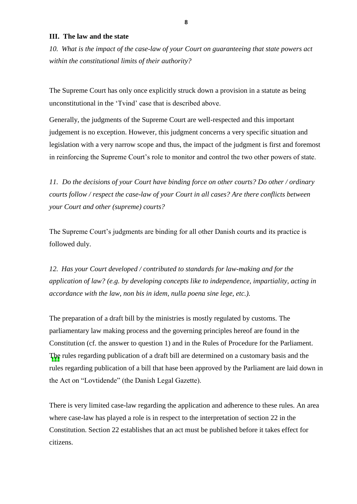### **III. The law and the state**

*10. What is the impact of the case-law of your Court on guaranteeing that state powers act within the constitutional limits of their authority?*

The Supreme Court has only once explicitly struck down a provision in a statute as being unconstitutional in the 'Tvind' case that is described above.

Generally, the judgments of the Supreme Court are well-respected and this important judgement is no exception. However, this judgment concerns a very specific situation and legislation with a very narrow scope and thus, the impact of the judgment is first and foremost in reinforcing the Supreme Court's role to monitor and control the two other powers of state.

*11. Do the decisions of your Court have binding force on other courts? Do other / ordinary courts follow / respect the case-law of your Court in all cases? Are there conflicts between your Court and other (supreme) courts?*

The Supreme Court's judgments are binding for all other Danish courts and its practice is followed duly.

*12. Has your Court developed / contributed to standards for law-making and for the application of law? (e.g. by developing concepts like to independence, impartiality, acting in accordance with the law, non bis in idem, nulla poena sine lege, etc.).*

The rules regarding publication of a draft bill are determined on a customary basis and the The preparation of a draft bill by the ministries is mostly regulated by customs. The parliamentary law making process and the governing principles hereof are found in the Constitution (cf. the answer to question 1) and in the Rules of Procedure for the Parliament. rules regarding publication of a bill that hase been approved by the Parliament are laid down in the Act on "Lovtidende" (the Danish Legal Gazette).

There is very limited case-law regarding the application and adherence to these rules. An area where case-law has played a role is in respect to the interpretation of section 22 in the Constitution. Section 22 establishes that an act must be published before it takes effect for citizens.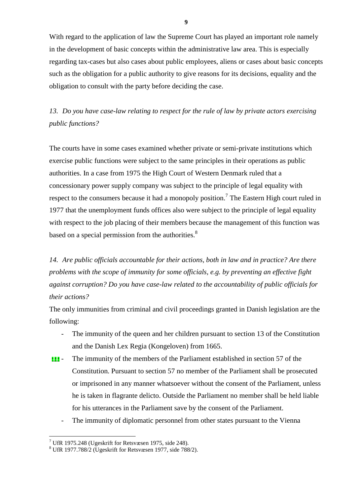With regard to the application of law the Supreme Court has played an important role namely in the development of basic concepts within the administrative law area. This is especially regarding tax-cases but also cases about public employees, aliens or cases about basic concepts such as the obligation for a public authority to give reasons for its decisions, equality and the obligation to consult with the party before deciding the case.

*13. Do you have case-law relating to respect for the rule of law by private actors exercising public functions?*

The courts have in some cases examined whether private or semi-private institutions which exercise public functions were subject to the same principles in their operations as public authorities. In a case from 1975 the High Court of Western Denmark ruled that a concessionary power supply company was subject to the principle of legal equality with respect to the consumers because it had a monopoly position.<sup>7</sup> The Eastern High court ruled in 1977 that the unemployment funds offices also were subject to the principle of legal equality with respect to the job placing of their members because the management of this function was based on a special permission from the authorities. $8<sup>8</sup>$ 

*14. Are public officials accountable for their actions, both in law and in practice? Are there problems with the scope of immunity for some officials, e.g. by preventing an effective fight against corruption? Do you have case-law related to the accountability of public officials for their actions?* 

The only immunities from criminal and civil proceedings granted in Danish legislation are the following:

- The immunity of the queen and her children pursuant to section 13 of the Constitution and the Danish Lex Regia (Kongeloven) from 1665.
- \* \* \* The immunity of the members of the Parliament established in section 57 of the Constitution. Pursuant to section 57 no member of the Parliament shall be prosecuted or imprisoned in any manner whatsoever without the consent of the Parliament, unless he is taken in flagrante delicto. Outside the Parliament no member shall be held liable for his utterances in the Parliament save by the consent of the Parliament.
	- The immunity of diplomatic personnel from other states pursuant to the Vienna

 $\overline{a}$ 

 $7$  UfR 1975.248 (Ugeskrift for Retsvæsen 1975, side 248).

 $8$  UfR 1977.788/2 (Ugeskrift for Retsvæsen 1977, side 788/2).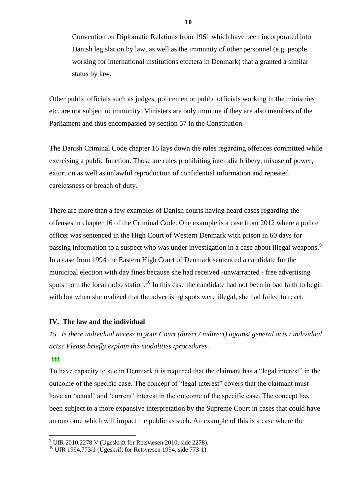Convention on Diplomatic Relations from 1961 which have been incorporated into Danish legislation by law, as well as the immunity of other personnel (e.g. people working for international institutions etcetera in Denmark) that a granted a similar status by law.

Other public officials such as judges, policemen or public officials working in the ministries etc. are not subject to immunity. Ministers are only immune if they are also members of the Parliament and thus encompassed by section 57 in the Constitution.

The Danish Criminal Code chapter 16 lays down the rules regarding offences committed while exercising a public function. Those are rules prohibiting inter alia bribery, misuse of power, extortion as well as unlawful reproduction of confidential information and repeated carelessness or breach of duty.

There are more than a few examples of Danish courts having heard cases regarding the offenses in chapter 16 of the Criminal Code. One example is a case from 2012 where a police officer was sentenced in the High Court of Western Denmark with prison in 60 days for passing information to a suspect who was under investigation in a case about illegal weapons.<sup>9</sup> In a case from 1994 the Eastern High Court of Denmark sentenced a candidate for the municipal election with day fines because she had received -unwarranted - free advertising spots from the local radio station.<sup>10</sup> In this case the candidate had not been in bad faith to begin with but when she realized that the advertising spots were illegal, she had failed to react.

# **IV. The law and the individual**

*15. Is there individual access to your Court (direct / indirect) against general acts / individual acts? Please briefly explain the modalities /procedures.*

#### \* \* \*

 $\overline{a}$ 

To have capacity to sue in Denmark it is required that the claimant has a "legal interest" in the outcome of the specific case. The concept of "legal interest" covers that the claimant must have an 'actual' and 'current' interest in the outcome of the specific case. The concept has been subject to a more expansive interpretation by the Supreme Court in cases that could have an outcome which will impact the public as such. An example of this is a case where the

 $9$  UfR 2010.2278 V (Ugeskrift for Retsvæsen 2010, side 2278).

 $^{10}$  UfR 1994.773/1 (Ugeskrift for Retsvæsen 1994, side 773-1).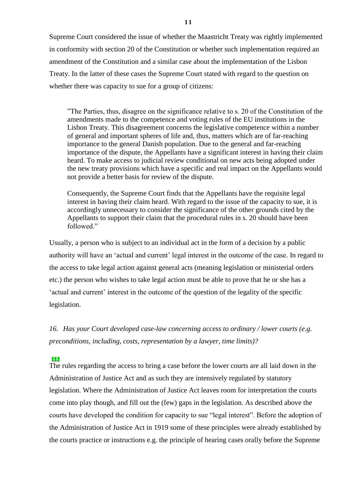Supreme Court considered the issue of whether the Maastricht Treaty was rightly implemented in conformity with section 20 of the Constitution or whether such implementation required an amendment of the Constitution and a similar case about the implementation of the Lisbon Treaty. In the latter of these cases the Supreme Court stated with regard to the question on whether there was capacity to sue for a group of citizens:

"The Parties, thus, disagree on the significance relative to s. 20 of the Constitution of the amendments made to the competence and voting rules of the EU institutions in the Lisbon Treaty. This disagreement concerns the legislative competence within a number of general and important spheres of life and, thus, matters which are of far-reaching importance to the general Danish population. Due to the general and far-reaching importance of the dispute, the Appellants have a significant interest in having their claim heard. To make access to judicial review conditional on new acts being adopted under the new treaty provisions which have a specific and real impact on the Appellants would not provide a better basis for review of the dispute.

Consequently, the Supreme Court finds that the Appellants have the requisite legal interest in having their claim heard. With regard to the issue of the capacity to sue, it is accordingly unnecessary to consider the significance of the other grounds cited by the Appellants to support their claim that the procedural rules in s. 20 should have been followed."

Usually, a person who is subject to an individual act in the form of a decision by a public authority will have an 'actual and current' legal interest in the outcome of the case. In regard to the access to take legal action against general acts (meaning legislation or ministerial orders etc.) the person who wishes to take legal action must be able to prove that he or she has a 'actual and current' interest in the outcome of the question of the legality of the specific legislation.

*16. Has your Court developed case-law concerning access to ordinary / lower courts (e.g. preconditions, including, costs, representation by a lawyer, time limits)?*

# \* \* \*

The rules regarding the access to bring a case before the lower courts are all laid down in the Administration of Justice Act and as such they are intensively regulated by statutory legislation. Where the Administration of Justice Act leaves room for interpretation the courts come into play though, and fill out the (few) gaps in the legislation. As described above the courts have developed the condition for capacity to sue "legal interest". Before the adoption of the Administration of Justice Act in 1919 some of these principles were already established by the courts practice or instructions e.g. the principle of hearing cases orally before the Supreme